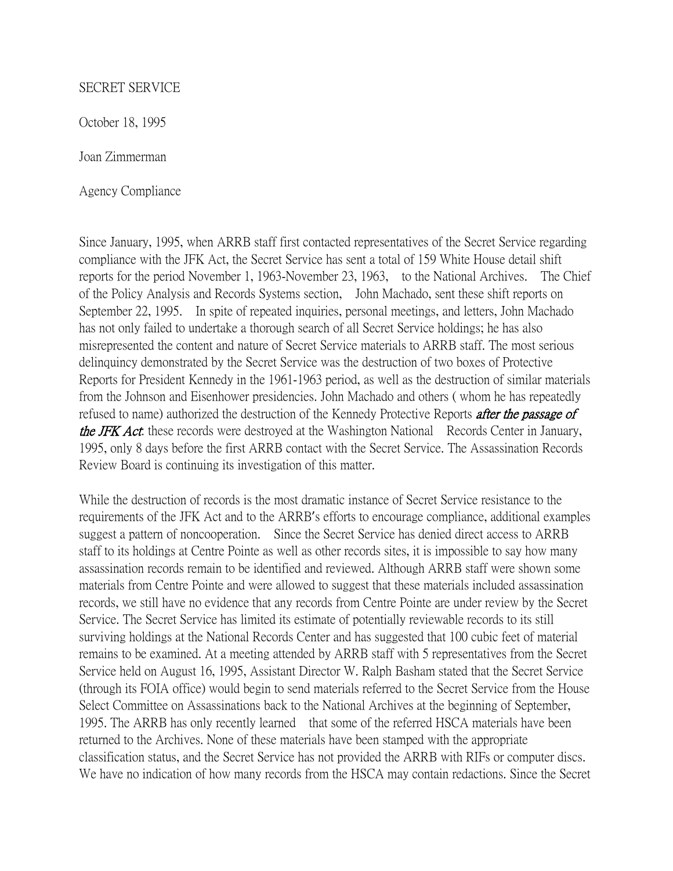## SECRET SERVICE

October 18, 1995

Joan Zimmerman

Agency Compliance

Since January, 1995, when ARRB staff first contacted representatives of the Secret Service regarding compliance with the JFK Act, the Secret Service has sent a total of 159 White House detail shift reports for the period November 1, 1963-November 23, 1963, to the National Archives. The Chief of the Policy Analysis and Records Systems section, John Machado, sent these shift reports on September 22, 1995. In spite of repeated inquiries, personal meetings, and letters, John Machado has not only failed to undertake a thorough search of all Secret Service holdings; he has also misrepresented the content and nature of Secret Service materials to ARRB staff. The most serious delinquincy demonstrated by the Secret Service was the destruction of two boxes of Protective Reports for President Kennedy in the 1961-1963 period, as well as the destruction of similar materials from the Johnson and Eisenhower presidencies. John Machado and others ( whom he has repeatedly refused to name) authorized the destruction of the Kennedy Protective Reports *after the passage of* the JFK Act: these records were destroyed at the Washington National Records Center in January, 1995, only 8 days before the first ARRB contact with the Secret Service. The Assassination Records Review Board is continuing its investigation of this matter.

While the destruction of records is the most dramatic instance of Secret Service resistance to the requirements of the JFK Act and to the ARRB's efforts to encourage compliance, additional examples suggest a pattern of noncooperation. Since the Secret Service has denied direct access to ARRB staff to its holdings at Centre Pointe as well as other records sites, it is impossible to say how many assassination records remain to be identified and reviewed. Although ARRB staff were shown some materials from Centre Pointe and were allowed to suggest that these materials included assassination records, we still have no evidence that any records from Centre Pointe are under review by the Secret Service. The Secret Service has limited its estimate of potentially reviewable records to its still surviving holdings at the National Records Center and has suggested that 100 cubic feet of material remains to be examined. At a meeting attended by ARRB staff with 5 representatives from the Secret Service held on August 16, 1995, Assistant Director W. Ralph Basham stated that the Secret Service (through its FOIA office) would begin to send materials referred to the Secret Service from the House Select Committee on Assassinations back to the National Archives at the beginning of September, 1995. The ARRB has only recently learned that some of the referred HSCA materials have been returned to the Archives. None of these materials have been stamped with the appropriate classification status, and the Secret Service has not provided the ARRB with RIFs or computer discs. We have no indication of how many records from the HSCA may contain redactions. Since the Secret